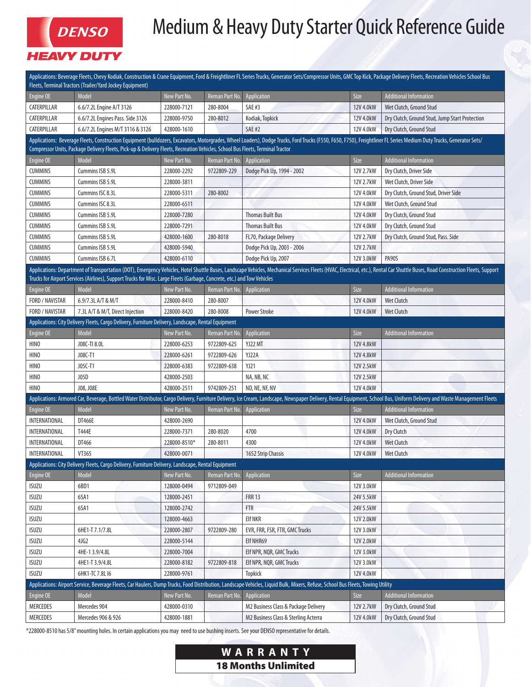

## Medium & Heavy Duty Starter Quick Reference Guide

| Applications: Beverage Fleets, Chevy Kodiak, Construction & Crane Equipment, Ford & Freightliner FL Series Trucks, Generator Sets/Compressor Units, GMC Top Kick, Package Delivery Fleets, Recreation Vehicles School Bus<br>Fleets, Terminal Tractors (Trailer/Yard Jockey Equipment)                                                                     |                                  |              |                      |                                                                                                                                                                                 |           |                                                |
|------------------------------------------------------------------------------------------------------------------------------------------------------------------------------------------------------------------------------------------------------------------------------------------------------------------------------------------------------------|----------------------------------|--------------|----------------------|---------------------------------------------------------------------------------------------------------------------------------------------------------------------------------|-----------|------------------------------------------------|
| Engine OE                                                                                                                                                                                                                                                                                                                                                  | Model                            | New Part No. | Reman Part No.       | Application                                                                                                                                                                     | Size      | <b>Additional Information</b>                  |
| CATERPILLAR                                                                                                                                                                                                                                                                                                                                                | 6.6/7.2L Engine A/T 3126         | 228000-7121  | 280-8004             | <b>SAE#3</b>                                                                                                                                                                    | 12V 4.0kW | Wet Clutch, Ground Stud                        |
| CATERPILLAR                                                                                                                                                                                                                                                                                                                                                | 6.6/7.2L Engines Pass. Side 3126 | 228000-9750  | 280-8012             | Kodiak, Topkick                                                                                                                                                                 | 12V 4.0kW | Dry Clutch, Ground Stud, Jump Start Protection |
| CATERPILLAR                                                                                                                                                                                                                                                                                                                                                | 6.6/7.2L Engines M/T 3116 & 3126 | 428000-1610  |                      | <b>SAE #2</b>                                                                                                                                                                   | 12V 4.0kW | Dry Clutch, Ground Stud                        |
| Applications: Beverage Fleets, Construction Equipment (bulldozers, Excavators, Motorgrades, Wheel Loaders), Dodge Trucks, Ford Trucks (F550, F650, F750), Freightliner FL Series Medium Duty Trucks, Generator Sets/                                                                                                                                       |                                  |              |                      |                                                                                                                                                                                 |           |                                                |
| Compressor Units, Package Delivery Fleets, Pick-up & Delivery Fleets, Recreation Vehicles, School Bus Fleets, Terminal Tractor                                                                                                                                                                                                                             |                                  |              |                      |                                                                                                                                                                                 |           |                                                |
| Engine OE                                                                                                                                                                                                                                                                                                                                                  | Model                            | New Part No. | Reman Part No.       | Application                                                                                                                                                                     | Size      | <b>Additional Information</b>                  |
| <b>CUMMINS</b>                                                                                                                                                                                                                                                                                                                                             | Cummins ISB 5.9L                 | 228000-2292  | 9722809-229          | Dodge Pick Up, 1994 - 2002                                                                                                                                                      | 12V 2.7kW | Dry Clutch, Driver Side                        |
| <b>CUMMINS</b>                                                                                                                                                                                                                                                                                                                                             | Cummins ISB 5.9L                 | 228000-3811  |                      |                                                                                                                                                                                 | 12V 2.7kW | Wet Clutch, Driver Side                        |
| <b>CUMMINS</b>                                                                                                                                                                                                                                                                                                                                             | Cummins ISC 8.3L                 | 228000-5311  | 280-8002             |                                                                                                                                                                                 | 12V 4.0kW | Dry Clutch, Ground Stud, Driver Side           |
| <b>CUMMINS</b>                                                                                                                                                                                                                                                                                                                                             | Cummins ISC 8.3L                 | 228000-6511  |                      |                                                                                                                                                                                 | 12V 4.0kW | Wet Clutch, Ground Stud                        |
| <b>CUMMINS</b>                                                                                                                                                                                                                                                                                                                                             | Cummins ISB 5.9L                 | 228000-7280  |                      | <b>Thomas Built Bus</b>                                                                                                                                                         | 12V 4.0kW | Dry Clutch, Ground Stud                        |
| <b>CUMMINS</b>                                                                                                                                                                                                                                                                                                                                             | Cummins ISB 5.9L                 | 228000-7291  |                      | <b>Thomas Built Bus</b>                                                                                                                                                         | 12V 4.0kW | Dry Clutch, Ground Stud                        |
| <b>CUMMINS</b>                                                                                                                                                                                                                                                                                                                                             | Cummins ISB 5.9L                 | 428000-1600  | 280-8018             | <b>FL70, Package Delivery</b>                                                                                                                                                   | 12V 2.7kW | Dry Clutch, Ground Stud, Pass. Side            |
| <b>CUMMINS</b>                                                                                                                                                                                                                                                                                                                                             | Cummins ISB 5.9L                 | 428000-5940  |                      | Dodge Pick Up, 2003 - 2006                                                                                                                                                      | 12V 2.7kW |                                                |
| <b>CUMMINS</b>                                                                                                                                                                                                                                                                                                                                             | Cummins ISB 6.7L                 | 428000-6110  |                      | Dodge Pick Up, 2007                                                                                                                                                             | 12V 3.0kW | <b>PA90S</b>                                   |
| Applications: Department of Transportation (DOT), Emergency Vehicles, Hotel Shuttle Buses, Landscape Vehicles, Mechanical Services Fleets (HVAC, Electrical, etc.), Rental Car Shuttle Buses, Road Construction Fleets, Suppor<br>Trucks for Airport Services (Airlines), Support Trucks for Misc. Large Fleets (Garbage, Concrete, etc.) and Tow Vehicles |                                  |              |                      |                                                                                                                                                                                 |           |                                                |
| Engine OE                                                                                                                                                                                                                                                                                                                                                  | Model                            | New Part No. | Reman Part No.       | Application                                                                                                                                                                     | Size      | <b>Additional Information</b>                  |
| FORD / NAVISTAR                                                                                                                                                                                                                                                                                                                                            | 6.9/7.3L A/T & M/T               | 228000-8410  | 280-8007             |                                                                                                                                                                                 | 12V 4.0kW | <b>Wet Clutch</b>                              |
| FORD / NAVISTAR                                                                                                                                                                                                                                                                                                                                            | 7.3L A/T & M/T, Direct Injection | 228000-8420  | 280-8008             | <b>Power Stroke</b>                                                                                                                                                             | 12V 4.0kW | <b>Wet Clutch</b>                              |
| Applications: City Delivery Fleets, Cargo Delivery, Furniture Delivery, Landscape, Rental Equipment                                                                                                                                                                                                                                                        |                                  |              |                      |                                                                                                                                                                                 |           |                                                |
| Engine OE                                                                                                                                                                                                                                                                                                                                                  | Model                            | New Part No. | Reman Part No.       | Application                                                                                                                                                                     | Size      | <b>Additional Information</b>                  |
| HINO                                                                                                                                                                                                                                                                                                                                                       | J08C-TI 8.0L                     | 228000-6253  | 9722809-625          | YJ22 MT                                                                                                                                                                         | 12V 4.8kW |                                                |
| HINO                                                                                                                                                                                                                                                                                                                                                       | J08C-T1                          | 228000-6261  | 9722809-626          | YJ22A                                                                                                                                                                           | 12V 4.8kW |                                                |
| <b>HINO</b>                                                                                                                                                                                                                                                                                                                                                | J05C-T1                          | 228000-6383  | 9722809-638          | <b>YJ21</b>                                                                                                                                                                     | 12V 2.5kW |                                                |
| <b>HINO</b>                                                                                                                                                                                                                                                                                                                                                | J05D                             | 428000-2503  |                      | NA, NB, NC                                                                                                                                                                      | 12V 2.5kW |                                                |
| <b>HINO</b>                                                                                                                                                                                                                                                                                                                                                | J08, J08E                        | 428000-2511  | 9742809-251          | ND, NE, NF, NV                                                                                                                                                                  | 12V 4.0kW |                                                |
| Applications: Armored Car, Beverage, Bottled Water Distributor, Cargo Delivery, Furniture Delivery, Ice Cream, Landscape, Newspaper Delivery, Rental Equipment, School Bus, Uniform Delivery and Waste Management Fleets                                                                                                                                   |                                  |              |                      |                                                                                                                                                                                 |           |                                                |
| Engine OE                                                                                                                                                                                                                                                                                                                                                  | Model                            | New Part No. | Reman Part No.       | Application                                                                                                                                                                     | Size      | <b>Additional Information</b>                  |
| INTERNATIONAL                                                                                                                                                                                                                                                                                                                                              | DT466E                           | 428000-2690  |                      |                                                                                                                                                                                 | 12V 4.0kW | Wet Clutch, Ground Stud                        |
| INTERNATIONAL                                                                                                                                                                                                                                                                                                                                              | T444E                            | 228000-7371  | 280-8020             | 4700                                                                                                                                                                            | 12V 4.0kW | Dry Clutch                                     |
| INTERNATIONAL                                                                                                                                                                                                                                                                                                                                              | DT466                            | 228000-8510* | 280-8011             | 4300                                                                                                                                                                            | 12V 4.0kW | <b>Wet Clutch</b>                              |
| INTERNATIONAL                                                                                                                                                                                                                                                                                                                                              | VT365                            | 428000-0071  |                      | 1652 Strip Chassis                                                                                                                                                              | 12V 4.0kW | <b>Wet Clutch</b>                              |
| Applications: City Delivery Fleets, Cargo Delivery, Furniture Delivery, Landscape, Rental Equipment                                                                                                                                                                                                                                                        |                                  |              |                      |                                                                                                                                                                                 |           |                                                |
| Engine OE                                                                                                                                                                                                                                                                                                                                                  | Model                            | New Part No. | <b>Reman Part No</b> | Application                                                                                                                                                                     | Size      | <b>Additional Information</b>                  |
| <b>ISUZU</b>                                                                                                                                                                                                                                                                                                                                               | 6BD1                             | 128000-0494  | 9712809-049          |                                                                                                                                                                                 | 12V 3.0kW |                                                |
| <b>ISUZU</b>                                                                                                                                                                                                                                                                                                                                               | 6SA1                             | 128000-2451  |                      | <b>FRR 13</b>                                                                                                                                                                   | 24V 5.5kW |                                                |
| <b>ISUZU</b>                                                                                                                                                                                                                                                                                                                                               | 6SA1                             | 128000-2742  |                      | <b>FTR</b>                                                                                                                                                                      | 24V 5.5kW |                                                |
| <b>ISUZU</b>                                                                                                                                                                                                                                                                                                                                               |                                  | 128000-4663  |                      | <b>EIf NKR</b>                                                                                                                                                                  | 12V 2.0kW |                                                |
| <b>ISUZU</b>                                                                                                                                                                                                                                                                                                                                               | 6HE1-T 7.1/7.8L                  | 228000-2807  | 9722809-280          | EVR, FRR, FSR, FTR, GMC Trucks                                                                                                                                                  | 12V 3.0kW |                                                |
| ISUZU                                                                                                                                                                                                                                                                                                                                                      | 4JG2                             | 228000-5144  |                      | Elf NHR69                                                                                                                                                                       | 12V 2.0kW |                                                |
| <b>ISUZU</b>                                                                                                                                                                                                                                                                                                                                               | 4HE-13.9/4.8L                    | 228000-7004  |                      | Elf NPR, NQR, GMC Trucks                                                                                                                                                        | 12V 3.0kW |                                                |
| ISUZU                                                                                                                                                                                                                                                                                                                                                      | 4HE1-T 3.9/4.8L                  | 228000-8182  | 9722809-818          | Elf NPR, NQR, GMC Trucks                                                                                                                                                        | 12V 3.0kW |                                                |
| <b>ISUZU</b>                                                                                                                                                                                                                                                                                                                                               | 6HK1-TC 7.8L 16                  | 228000-9761  |                      | <b>Topkick</b>                                                                                                                                                                  | 12V 4.0kW |                                                |
|                                                                                                                                                                                                                                                                                                                                                            |                                  |              |                      | Applications: Airport Service, Beverage Fleets, Car Haulers, Dump Trucks, Food Distribution, Landscape Vehicles, Liquid Bulk, Mixers, Refuse, School Bus Fleets, Towing Utility |           |                                                |
| Engine OE                                                                                                                                                                                                                                                                                                                                                  | Model                            | New Part No. | Reman Part No.       | Application                                                                                                                                                                     | Size      | <b>Additional Information</b>                  |
| MERCEDES                                                                                                                                                                                                                                                                                                                                                   | Mercedes 904                     | 428000-0310  |                      | M2 Business Class & Package Delivery                                                                                                                                            | 12V 2.7kW | Dry Clutch, Ground Stud                        |
| MERCEDES                                                                                                                                                                                                                                                                                                                                                   | Mercedes 906 & 926               | 428000-1881  |                      | M2 Business Class & Sterling Acterra                                                                                                                                            | 12V 4.0kW | Dry Clutch, Ground Stud                        |
|                                                                                                                                                                                                                                                                                                                                                            |                                  |              |                      |                                                                                                                                                                                 |           |                                                |

\*228000-8510 has 5/8" mounting holes. In certain applications you may need to use bushing inserts. See your DENSO representative for details.

## **WARRANTY** 18 Months Unlimited